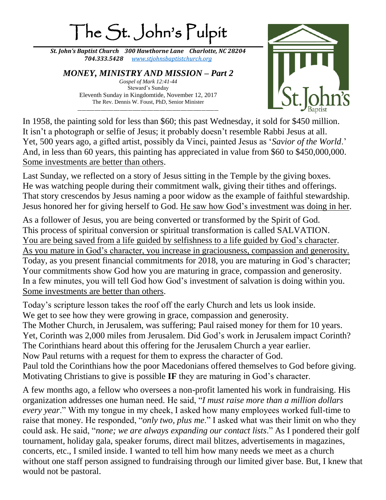## The St. John's Pulpit

*St. John's Baptist Church 300 Hawthorne Lane Charlotte, NC 28204 704.333.5428 [www.stjohnsbaptistchurch.org](http://www.stjohnsbaptistchurch.org/)*

*MONEY, MINISTRY AND MISSION – Part 2 Gospel of Mark 12:41-44*  Steward's Sunday Eleventh Sunday in Kingdomtide, November 12, 2017 The Rev. Dennis W. Foust, PhD, Senior Minister

\_\_\_\_\_\_\_\_\_\_\_\_\_\_\_\_\_\_\_\_\_\_\_\_\_\_\_\_\_\_\_\_\_\_\_\_\_\_\_\_\_\_\_\_\_\_\_\_\_\_\_\_\_\_\_\_\_\_\_\_\_\_\_\_\_\_\_



In 1958, the painting sold for less than \$60; this past Wednesday, it sold for \$450 million. It isn't a photograph or selfie of Jesus; it probably doesn't resemble Rabbi Jesus at all. Yet, 500 years ago, a gifted artist, possibly da Vinci, painted Jesus as '*Savior of the World*.' And, in less than 60 years, this painting has appreciated in value from \$60 to \$450,000,000. Some investments are better than others.

Last Sunday, we reflected on a story of Jesus sitting in the Temple by the giving boxes. He was watching people during their commitment walk, giving their tithes and offerings. That story crescendos by Jesus naming a poor widow as the example of faithful stewardship. Jesus honored her for giving herself to God. He saw how God's investment was doing in her.

As a follower of Jesus, you are being converted or transformed by the Spirit of God. This process of spiritual conversion or spiritual transformation is called SALVATION. You are being saved from a life guided by selfishness to a life guided by God's character. As you mature in God's character, you increase in graciousness, compassion and generosity. Today, as you present financial commitments for 2018, you are maturing in God's character; Your commitments show God how you are maturing in grace, compassion and generosity. In a few minutes, you will tell God how God's investment of salvation is doing within you. Some investments are better than others.

Today's scripture lesson takes the roof off the early Church and lets us look inside. We get to see how they were growing in grace, compassion and generosity. The Mother Church, in Jerusalem, was suffering; Paul raised money for them for 10 years. Yet, Corinth was 2,000 miles from Jerusalem. Did God's work in Jerusalem impact Corinth? The Corinthians heard about this offering for the Jerusalem Church a year earlier. Now Paul returns with a request for them to express the character of God. Paul told the Corinthians how the poor Macedonians offered themselves to God before giving. Motivating Christians to give is possible **IF** they are maturing in God's character.

A few months ago, a fellow who oversees a non-profit lamented his work in fundraising. His organization addresses one human need. He said, "*I must raise more than a million dollars every year*." With my tongue in my cheek, I asked how many employees worked full-time to raise that money. He responded, "*only two, plus me*." I asked what was their limit on who they could ask. He said, "*none; we are always expanding our contact lists*." As I pondered their golf tournament, holiday gala, speaker forums, direct mail blitzes, advertisements in magazines, concerts, etc., I smiled inside. I wanted to tell him how many needs we meet as a church without one staff person assigned to fundraising through our limited giver base. But, I knew that would not be pastoral.